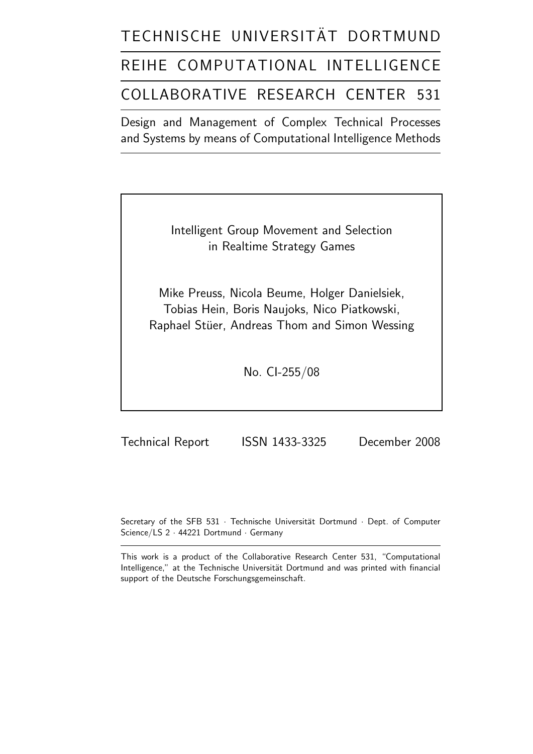# TECHNISCHE UNIVERSITÄT DORTMUND

# REIHE COMPUTATIONAL INTELLIGENCE

# COLLABORATIVE RESEARCH CENTER 531

Design and Management of Complex Technical Processes and Systems by means of Computational Intelligence Methods

> Intelligent Group Movement and Selection in Realtime Strategy Games

Mike Preuss, Nicola Beume, Holger Danielsiek, Tobias Hein, Boris Naujoks, Nico Piatkowski, Raphael Stüer, Andreas Thom and Simon Wessing

No. CI-255/08

Technical Report ISSN 1433-3325 December 2008

Secretary of the SFB 531 · Technische Universität Dortmund · Dept. of Computer Science/LS 2 · 44221 Dortmund · Germany

This work is a product of the Collaborative Research Center 531, "Computational Intelligence," at the Technische Universität Dortmund and was printed with financial support of the Deutsche Forschungsgemeinschaft.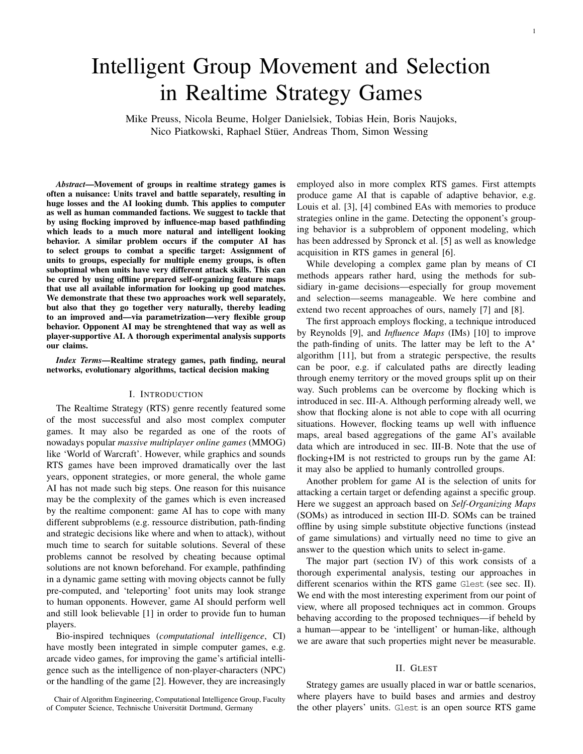# Intelligent Group Movement and Selection in Realtime Strategy Games

Mike Preuss, Nicola Beume, Holger Danielsiek, Tobias Hein, Boris Naujoks, Nico Piatkowski, Raphael Stüer, Andreas Thom, Simon Wessing

*Abstract*—Movement of groups in realtime strategy games is often a nuisance: Units travel and battle separately, resulting in huge losses and the AI looking dumb. This applies to computer as well as human commanded factions. We suggest to tackle that by using flocking improved by influence-map based pathfinding which leads to a much more natural and intelligent looking behavior. A similar problem occurs if the computer AI has to select groups to combat a specific target: Assignment of units to groups, especially for multiple enemy groups, is often suboptimal when units have very different attack skills. This can be cured by using offline prepared self-organizing feature maps that use all available information for looking up good matches. We demonstrate that these two approaches work well separately, but also that they go together very naturally, thereby leading to an improved and—via parametrization—very flexible group behavior. Opponent AI may be strenghtened that way as well as player-supportive AI. A thorough experimental analysis supports our claims.

*Index Terms*—Realtime strategy games, path finding, neural networks, evolutionary algorithms, tactical decision making

#### I. INTRODUCTION

The Realtime Strategy (RTS) genre recently featured some of the most successful and also most complex computer games. It may also be regarded as one of the roots of nowadays popular *massive multiplayer online games* (MMOG) like 'World of Warcraft'. However, while graphics and sounds RTS games have been improved dramatically over the last years, opponent strategies, or more general, the whole game AI has not made such big steps. One reason for this nuisance may be the complexity of the games which is even increased by the realtime component: game AI has to cope with many different subproblems (e.g. ressource distribution, path-finding and strategic decisions like where and when to attack), without much time to search for suitable solutions. Several of these problems cannot be resolved by cheating because optimal solutions are not known beforehand. For example, pathfinding in a dynamic game setting with moving objects cannot be fully pre-computed, and 'teleporting' foot units may look strange to human opponents. However, game AI should perform well and still look believable [1] in order to provide fun to human players.

Bio-inspired techniques (*computational intelligence*, CI) have mostly been integrated in simple computer games, e.g. arcade video games, for improving the game's artificial intelligence such as the intelligence of non-player-characters (NPC) or the handling of the game [2]. However, they are increasingly employed also in more complex RTS games. First attempts produce game AI that is capable of adaptive behavior, e.g. Louis et al. [3], [4] combined EAs with memories to produce strategies online in the game. Detecting the opponent's grouping behavior is a subproblem of opponent modeling, which has been addressed by Spronck et al. [5] as well as knowledge acquisition in RTS games in general [6].

While developing a complex game plan by means of CI methods appears rather hard, using the methods for subsidiary in-game decisions—especially for group movement and selection—seems manageable. We here combine and extend two recent approaches of ours, namely [7] and [8].

The first approach employs flocking, a technique introduced by Reynolds [9], and *Influence Maps* (IMs) [10] to improve the path-finding of units. The latter may be left to the  $A^*$ algorithm [11], but from a strategic perspective, the results can be poor, e.g. if calculated paths are directly leading through enemy territory or the moved groups split up on their way. Such problems can be overcome by flocking which is introduced in sec. III-A. Although performing already well, we show that flocking alone is not able to cope with all ocurring situations. However, flocking teams up well with influence maps, areal based aggregations of the game AI's available data which are introduced in sec. III-B. Note that the use of flocking+IM is not restricted to groups run by the game AI: it may also be applied to humanly controlled groups.

Another problem for game AI is the selection of units for attacking a certain target or defending against a specific group. Here we suggest an approach based on *Self-Organizing Maps* (SOMs) as introduced in section III-D. SOMs can be trained offline by using simple substitute objective functions (instead of game simulations) and virtually need no time to give an answer to the question which units to select in-game.

The major part (section IV) of this work consists of a thorough experimental analysis, testing our approaches in different scenarios within the RTS game Glest (see sec. II). We end with the most interesting experiment from our point of view, where all proposed techniques act in common. Groups behaving according to the proposed techniques—if beheld by a human—appear to be 'intelligent' or human-like, although we are aware that such properties might never be measurable.

#### II. GLEST

Strategy games are usually placed in war or battle scenarios, where players have to build bases and armies and destroy the other players' units. Glest is an open source RTS game

Chair of Algorithm Engineering, Computational Intelligence Group, Faculty of Computer Science, Technische Universitat Dortmund, Germany ¨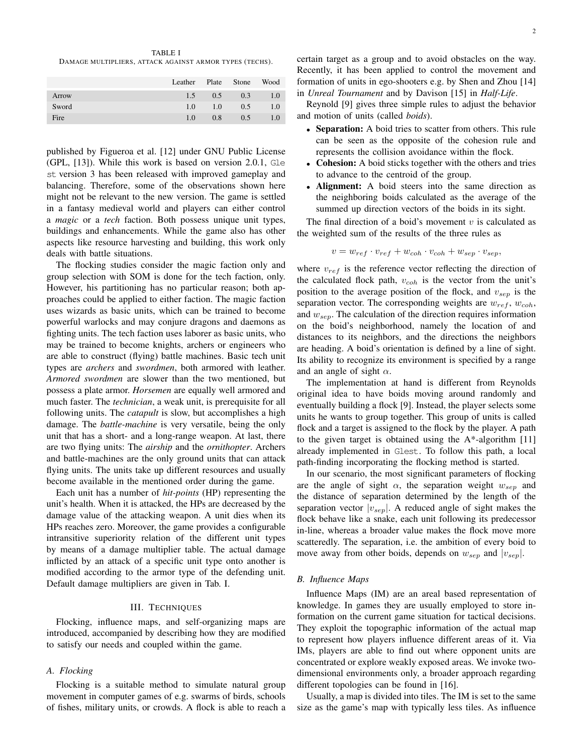TABLE I DAMAGE MULTIPLIERS, ATTACK AGAINST ARMOR TYPES (TECHS).

|       | Leather | Plate | Stone | Wood |
|-------|---------|-------|-------|------|
| Arrow | 1.5     | 0.5   | 0.3   | 1.0  |
| Sword | 1.0     | 1.0   | 0.5   | 1.0  |
| Fire  | 1.0     | 0.8   | 0.5   | 1.0  |

published by Figueroa et al. [12] under GNU Public License (GPL, [13]). While this work is based on version 2.0.1, Gle st version 3 has been released with improved gameplay and balancing. Therefore, some of the observations shown here might not be relevant to the new version. The game is settled in a fantasy medieval world and players can either control a *magic* or a *tech* faction. Both possess unique unit types, buildings and enhancements. While the game also has other aspects like resource harvesting and building, this work only deals with battle situations.

The flocking studies consider the magic faction only and group selection with SOM is done for the tech faction, only. However, his partitioning has no particular reason; both approaches could be applied to either faction. The magic faction uses wizards as basic units, which can be trained to become powerful warlocks and may conjure dragons and daemons as fighting units. The tech faction uses laborer as basic units, who may be trained to become knights, archers or engineers who are able to construct (flying) battle machines. Basic tech unit types are *archers* and *swordmen*, both armored with leather. *Armored swordmen* are slower than the two mentioned, but possess a plate armor. *Horsemen* are equally well armored and much faster. The *technician*, a weak unit, is prerequisite for all following units. The *catapult* is slow, but accomplishes a high damage. The *battle-machine* is very versatile, being the only unit that has a short- and a long-range weapon. At last, there are two flying units: The *airship* and the *ornithopter*. Archers and battle-machines are the only ground units that can attack flying units. The units take up different resources and usually become available in the mentioned order during the game.

Each unit has a number of *hit-points* (HP) representing the unit's health. When it is attacked, the HPs are decreased by the damage value of the attacking weapon. A unit dies when its HPs reaches zero. Moreover, the game provides a configurable intransitive superiority relation of the different unit types by means of a damage multiplier table. The actual damage inflicted by an attack of a specific unit type onto another is modified according to the armor type of the defending unit. Default damage multipliers are given in Tab. I.

#### III. TECHNIQUES

Flocking, influence maps, and self-organizing maps are introduced, accompanied by describing how they are modified to satisfy our needs and coupled within the game.

#### *A. Flocking*

Flocking is a suitable method to simulate natural group movement in computer games of e.g. swarms of birds, schools of fishes, military units, or crowds. A flock is able to reach a

certain target as a group and to avoid obstacles on the way. Recently, it has been applied to control the movement and formation of units in ego-shooters e.g. by Shen and Zhou [14] in *Unreal Tournament* and by Davison [15] in *Half-Life*.

Reynold [9] gives three simple rules to adjust the behavior and motion of units (called *boids*).

- Separation: A boid tries to scatter from others. This rule can be seen as the opposite of the cohesion rule and represents the collision avoidance within the flock.
- Cohesion: A boid sticks together with the others and tries to advance to the centroid of the group.
- Alignment: A boid steers into the same direction as the neighboring boids calculated as the average of the summed up direction vectors of the boids in its sight.

The final direction of a boid's movement  $v$  is calculated as the weighted sum of the results of the three rules as

$$
v = w_{ref} \cdot v_{ref} + w_{coh} \cdot v_{coh} + w_{sep} \cdot v_{sep},
$$

where  $v_{ref}$  is the reference vector reflecting the direction of the calculated flock path,  $v_{coh}$  is the vector from the unit's position to the average position of the flock, and  $v_{sep}$  is the separation vector. The corresponding weights are  $w_{ref}$ ,  $w_{coh}$ , and  $w_{sep}$ . The calculation of the direction requires information on the boid's neighborhood, namely the location of and distances to its neighbors, and the directions the neighbors are heading. A boid's orientation is defined by a line of sight. Its ability to recognize its environment is specified by a range and an angle of sight  $\alpha$ .

The implementation at hand is different from Reynolds original idea to have boids moving around randomly and eventually building a flock [9]. Instead, the player selects some units he wants to group together. This group of units is called flock and a target is assigned to the flock by the player. A path to the given target is obtained using the  $A^*$ -algorithm [11] already implemented in Glest. To follow this path, a local path-finding incorporating the flocking method is started.

In our scenario, the most significant parameters of flocking are the angle of sight  $\alpha$ , the separation weight  $w_{sep}$  and the distance of separation determined by the length of the separation vector  $|v_{sep}|$ . A reduced angle of sight makes the flock behave like a snake, each unit following its predecessor in-line, whereas a broader value makes the flock move more scatteredly. The separation, i.e. the ambition of every boid to move away from other boids, depends on  $w_{sep}$  and  $|v_{sep}|$ .

#### *B. Influence Maps*

Influence Maps (IM) are an areal based representation of knowledge. In games they are usually employed to store information on the current game situation for tactical decisions. They exploit the topographic information of the actual map to represent how players influence different areas of it. Via IMs, players are able to find out where opponent units are concentrated or explore weakly exposed areas. We invoke twodimensional environments only, a broader approach regarding different topologies can be found in [16].

Usually, a map is divided into tiles. The IM is set to the same size as the game's map with typically less tiles. As influence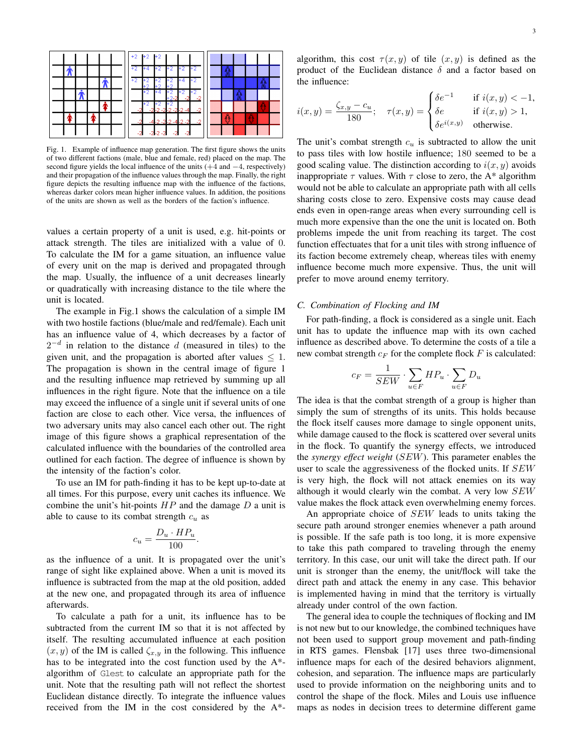

Fig. 1. Example of influence map generation. The first figure shows the units of two different factions (male, blue and female, red) placed on the map. The second figure yields the local influence of the units (+4 and −4, respectively) and their propagation of the influence values through the map. Finally, the right figure depicts the resulting influence map with the influence of the factions, whereas darker colors mean higher influence values. In addition, the positions of the units are shown as well as the borders of the faction's influence.

values a certain property of a unit is used, e.g. hit-points or attack strength. The tiles are initialized with a value of 0. To calculate the IM for a game situation, an influence value of every unit on the map is derived and propagated through the map. Usually, the influence of a unit decreases linearly or quadratically with increasing distance to the tile where the unit is located.

The example in Fig.1 shows the calculation of a simple IM with two hostile factions (blue/male and red/female). Each unit has an influence value of 4, which decreases by a factor of  $2^{-d}$  in relation to the distance d (measured in tiles) to the given unit, and the propagation is aborted after values  $\leq 1$ . The propagation is shown in the central image of figure 1 and the resulting influence map retrieved by summing up all influences in the right figure. Note that the influence on a tile may exceed the influence of a single unit if several units of one faction are close to each other. Vice versa, the influences of two adversary units may also cancel each other out. The right image of this figure shows a graphical representation of the calculated influence with the boundaries of the controlled area outlined for each faction. The degree of influence is shown by the intensity of the faction's color.

To use an IM for path-finding it has to be kept up-to-date at all times. For this purpose, every unit caches its influence. We combine the unit's hit-points  $HP$  and the damage  $D$  a unit is able to cause to its combat strength  $c_u$  as

$$
c_u = \frac{D_u \cdot HP_u}{100}.
$$

as the influence of a unit. It is propagated over the unit's range of sight like explained above. When a unit is moved its influence is subtracted from the map at the old position, added at the new one, and propagated through its area of influence afterwards.

To calculate a path for a unit, its influence has to be subtracted from the current IM so that it is not affected by itself. The resulting accumulated influence at each position  $(x, y)$  of the IM is called  $\zeta_{x,y}$  in the following. This influence has to be integrated into the cost function used by the A\* algorithm of Glest to calculate an appropriate path for the unit. Note that the resulting path will not reflect the shortest Euclidean distance directly. To integrate the influence values received from the IM in the cost considered by the A\*- algorithm, this cost  $\tau(x, y)$  of tile  $(x, y)$  is defined as the product of the Euclidean distance  $\delta$  and a factor based on the influence:

$$
i(x,y) = \frac{\zeta_{x,y} - c_u}{180}; \quad \tau(x,y) = \begin{cases} \delta e^{-1} & \text{if } i(x,y) < -1, \\ \delta e & \text{if } i(x,y) > 1, \\ \delta e^{i(x,y)} & \text{otherwise.} \end{cases}
$$

The unit's combat strength  $c<sub>u</sub>$  is subtracted to allow the unit to pass tiles with low hostile influence; 180 seemed to be a good scaling value. The distinction according to  $i(x, y)$  avoids inappropriate  $\tau$  values. With  $\tau$  close to zero, the A\* algorithm would not be able to calculate an appropriate path with all cells sharing costs close to zero. Expensive costs may cause dead ends even in open-range areas when every surrounding cell is much more expensive than the one the unit is located on. Both problems impede the unit from reaching its target. The cost function effectuates that for a unit tiles with strong influence of its faction become extremely cheap, whereas tiles with enemy influence become much more expensive. Thus, the unit will prefer to move around enemy territory.

#### *C. Combination of Flocking and IM*

For path-finding, a flock is considered as a single unit. Each unit has to update the influence map with its own cached influence as described above. To determine the costs of a tile a new combat strength  $c_F$  for the complete flock F is calculated:

$$
c_F = \frac{1}{SEW} \cdot \sum_{u \in F} HP_u \cdot \sum_{u \in F} D_u
$$

The idea is that the combat strength of a group is higher than simply the sum of strengths of its units. This holds because the flock itself causes more damage to single opponent units, while damage caused to the flock is scattered over several units in the flock. To quantify the synergy effects, we introduced the *synergy effect weight* (SEW). This parameter enables the user to scale the aggressiveness of the flocked units. If SEW is very high, the flock will not attack enemies on its way although it would clearly win the combat. A very low SEW value makes the flock attack even overwhelming enemy forces.

An appropriate choice of SEW leads to units taking the secure path around stronger enemies whenever a path around is possible. If the safe path is too long, it is more expensive to take this path compared to traveling through the enemy territory. In this case, our unit will take the direct path. If our unit is stronger than the enemy, the unit/flock will take the direct path and attack the enemy in any case. This behavior is implemented having in mind that the territory is virtually already under control of the own faction.

The general idea to couple the techniques of flocking and IM is not new but to our knowledge, the combined techniques have not been used to support group movement and path-finding in RTS games. Flensbak [17] uses three two-dimensional influence maps for each of the desired behaviors alignment, cohesion, and separation. The influence maps are particularly used to provide information on the neighboring units and to control the shape of the flock. Miles and Louis use influence maps as nodes in decision trees to determine different game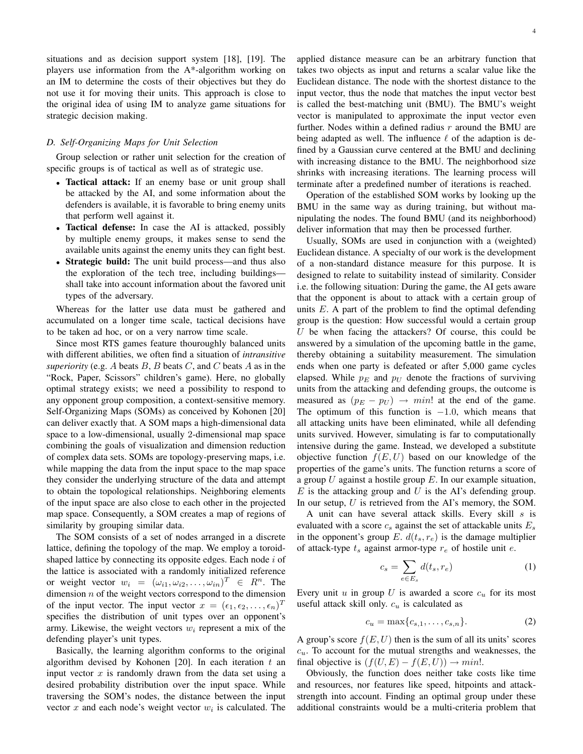situations and as decision support system [18], [19]. The players use information from the A\*-algorithm working on an IM to determine the costs of their objectives but they do not use it for moving their units. This approach is close to the original idea of using IM to analyze game situations for strategic decision making.

#### *D. Self-Organizing Maps for Unit Selection*

Group selection or rather unit selection for the creation of specific groups is of tactical as well as of strategic use.

- Tactical attack: If an enemy base or unit group shall be attacked by the AI, and some information about the defenders is available, it is favorable to bring enemy units that perform well against it.
- Tactical defense: In case the AI is attacked, possibly by multiple enemy groups, it makes sense to send the available units against the enemy units they can fight best.
- Strategic build: The unit build process—and thus also the exploration of the tech tree, including buildings shall take into account information about the favored unit types of the adversary.

Whereas for the latter use data must be gathered and accumulated on a longer time scale, tactical decisions have to be taken ad hoc, or on a very narrow time scale.

Since most RTS games feature thouroughly balanced units with different abilities, we often find a situation of *intransitive superiority* (e.g.  $A$  beats  $B$ ,  $B$  beats  $C$ , and  $C$  beats  $A$  as in the "Rock, Paper, Scissors" children's game). Here, no globally optimal strategy exists; we need a possibility to respond to any opponent group composition, a context-sensitive memory. Self-Organizing Maps (SOMs) as conceived by Kohonen [20] can deliver exactly that. A SOM maps a high-dimensional data space to a low-dimensional, usually 2-dimensional map space combining the goals of visualization and dimension reduction of complex data sets. SOMs are topology-preserving maps, i.e. while mapping the data from the input space to the map space they consider the underlying structure of the data and attempt to obtain the topological relationships. Neighboring elements of the input space are also close to each other in the projected map space. Consequently, a SOM creates a map of regions of similarity by grouping similar data.

The SOM consists of a set of nodes arranged in a discrete lattice, defining the topology of the map. We employ a toroidshaped lattice by connecting its opposite edges. Each node  $i$  of the lattice is associated with a randomly initialized reference or weight vector  $w_i = (\omega_{i1}, \omega_{i2}, \dots, \omega_{in})^T \in R^n$ . The dimension  $n$  of the weight vectors correspond to the dimension of the input vector. The input vector  $x = (\epsilon_1, \epsilon_2, \dots, \epsilon_n)^T$ specifies the distribution of unit types over an opponent's army. Likewise, the weight vectors  $w_i$  represent a mix of the defending player's unit types.

Basically, the learning algorithm conforms to the original algorithm devised by Kohonen [20]. In each iteration  $t$  an input vector  $x$  is randomly drawn from the data set using a desired probability distribution over the input space. While traversing the SOM's nodes, the distance between the input vector x and each node's weight vector  $w_i$  is calculated. The applied distance measure can be an arbitrary function that takes two objects as input and returns a scalar value like the Euclidean distance. The node with the shortest distance to the input vector, thus the node that matches the input vector best is called the best-matching unit (BMU). The BMU's weight vector is manipulated to approximate the input vector even further. Nodes within a defined radius  $r$  around the BMU are being adapted as well. The influence  $\ell$  of the adaption is defined by a Gaussian curve centered at the BMU and declining with increasing distance to the BMU. The neighborhood size shrinks with increasing iterations. The learning process will terminate after a predefined number of iterations is reached.

Operation of the established SOM works by looking up the BMU in the same way as during training, but without manipulating the nodes. The found BMU (and its neighborhood) deliver information that may then be processed further.

Usually, SOMs are used in conjunction with a (weighted) Euclidean distance. A specialty of our work is the development of a non-standard distance measure for this purpose. It is designed to relate to suitability instead of similarity. Consider i.e. the following situation: During the game, the AI gets aware that the opponent is about to attack with a certain group of units  $E$ . A part of the problem to find the optimal defending group is the question: How successful would a certain group U be when facing the attackers? Of course, this could be answered by a simulation of the upcoming battle in the game, thereby obtaining a suitability measurement. The simulation ends when one party is defeated or after 5,000 game cycles elapsed. While  $p_E$  and  $p_U$  denote the fractions of surviving units from the attacking and defending groups, the outcome is measured as  $(p_E - p_U) \rightarrow min!$  at the end of the game. The optimum of this function is  $-1.0$ , which means that all attacking units have been eliminated, while all defending units survived. However, simulating is far to computationally intensive during the game. Instead, we developed a substitute objective function  $f(E, U)$  based on our knowledge of the properties of the game's units. The function returns a score of a group  $U$  against a hostile group  $E$ . In our example situation,  $E$  is the attacking group and  $U$  is the AI's defending group. In our setup, U is retrieved from the AI's memory, the SOM.

A unit can have several attack skills. Every skill  $s$  is evaluated with a score  $c_s$  against the set of attackable units  $E_s$ in the opponent's group E.  $d(t_s, r_e)$  is the damage multiplier of attack-type  $t_s$  against armor-type  $r_e$  of hostile unit  $e$ .

$$
c_s = \sum_{e \in E_s} d(t_s, r_e) \tag{1}
$$

Every unit u in group U is awarded a score  $c_u$  for its most useful attack skill only.  $c_u$  is calculated as

$$
c_u = \max\{c_{s,1}, \dots, c_{s,n}\}.
$$
\n<sup>(2)</sup>

A group's score  $f(E, U)$  then is the sum of all its units' scores  $c<sub>u</sub>$ . To account for the mutual strengths and weaknesses, the final objective is  $(f(U, E) - f(E, U)) \rightarrow min!$ .

Obviously, the function does neither take costs like time and resources, nor features like speed, hitpoints and attackstrength into account. Finding an optimal group under these additional constraints would be a multi-criteria problem that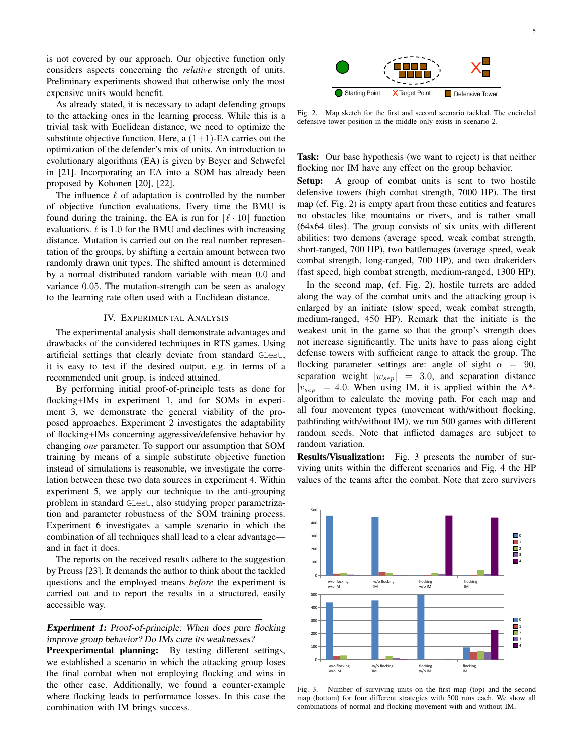is not covered by our approach. Our objective function only considers aspects concerning the *relative* strength of units. Preliminary experiments showed that otherwise only the most expensive units would benefit.

As already stated, it is necessary to adapt defending groups to the attacking ones in the learning process. While this is a trivial task with Euclidean distance, we need to optimize the substitute objective function. Here, a  $(1+1)$ -EA carries out the optimization of the defender's mix of units. An introduction to evolutionary algorithms (EA) is given by Beyer and Schwefel in [21]. Incorporating an EA into a SOM has already been proposed by Kohonen [20], [22].

The influence  $\ell$  of adaptation is controlled by the number of objective function evaluations. Every time the BMU is found during the training, the EA is run for  $\lvert \ell \cdot 10 \rvert$  function evaluations.  $\ell$  is 1.0 for the BMU and declines with increasing distance. Mutation is carried out on the real number representation of the groups, by shifting a certain amount between two randomly drawn unit types. The shifted amount is determined by a normal distributed random variable with mean 0.0 and variance 0.05. The mutation-strength can be seen as analogy to the learning rate often used with a Euclidean distance.

### IV. EXPERIMENTAL ANALYSIS

The experimental analysis shall demonstrate advantages and drawbacks of the considered techniques in RTS games. Using artificial settings that clearly deviate from standard Glest, it is easy to test if the desired output, e.g. in terms of a recommended unit group, is indeed attained.

By performing initial proof-of-principle tests as done for flocking+IMs in experiment 1, and for SOMs in experiment 3, we demonstrate the general viability of the proposed approaches. Experiment 2 investigates the adaptability of flocking+IMs concerning aggressive/defensive behavior by changing *one* parameter. To support our assumption that SOM training by means of a simple substitute objective function instead of simulations is reasonable, we investigate the correlation between these two data sources in experiment 4. Within experiment 5, we apply our technique to the anti-grouping problem in standard Glest, also studying proper parametrization and parameter robustness of the SOM training process. Experiment 6 investigates a sample szenario in which the combination of all techniques shall lead to a clear advantage and in fact it does.

The reports on the received results adhere to the suggestion by Preuss [23]. It demands the author to think about the tackled questions and the employed means *before* the experiment is carried out and to report the results in a structured, easily accessible way.

Experiment 1: Proof-of-principle: When does pure flocking improve group behavior? Do IMs cure its weaknesses?

Preexperimental planning: By testing different settings, we established a scenario in which the attacking group loses the final combat when not employing flocking and wins in the other case. Additionally, we found a counter-example where flocking leads to performance losses. In this case the combination with IM brings success.



Fig. 2. Map sketch for the first and second scenario tackled. The encircled defensive tower position in the middle only exists in scenario 2.

Task: Our base hypothesis (we want to reject) is that neither flocking nor IM have any effect on the group behavior.

Setup: A group of combat units is sent to two hostile defensive towers (high combat strength, 7000 HP). The first map (cf. Fig. 2) is empty apart from these entities and features no obstacles like mountains or rivers, and is rather small (64x64 tiles). The group consists of six units with different abilities: two demons (average speed, weak combat strength, short-ranged, 700 HP), two battlemages (average speed, weak combat strength, long-ranged, 700 HP), and two drakeriders (fast speed, high combat strength, medium-ranged, 1300 HP).

In the second map, (cf. Fig. 2), hostile turrets are added along the way of the combat units and the attacking group is enlarged by an initiate (slow speed, weak combat strength, medium-ranged, 450 HP). Remark that the initiate is the weakest unit in the game so that the group's strength does not increase significantly. The units have to pass along eight defense towers with sufficient range to attack the group. The flocking parameter settings are: angle of sight  $\alpha = 90$ , separation weight  $|w_{sep}| = 3.0$ , and separation distance  $|v_{sep}| = 4.0$ . When using IM, it is applied within the A\*algorithm to calculate the moving path. For each map and all four movement types (movement with/without flocking, pathfinding with/without IM), we run 500 games with different random seeds. Note that inflicted damages are subject to random variation.

Results/Visualization: Fig. 3 presents the number of surviving units within the different scenarios and Fig. 4 the HP values of the teams after the combat. Note that zero survivers



Fig. 3. Number of surviving units on the first map (top) and the second map (bottom) for four different strategies with 500 runs each. We show all combinations of normal and flocking movement with and without IM.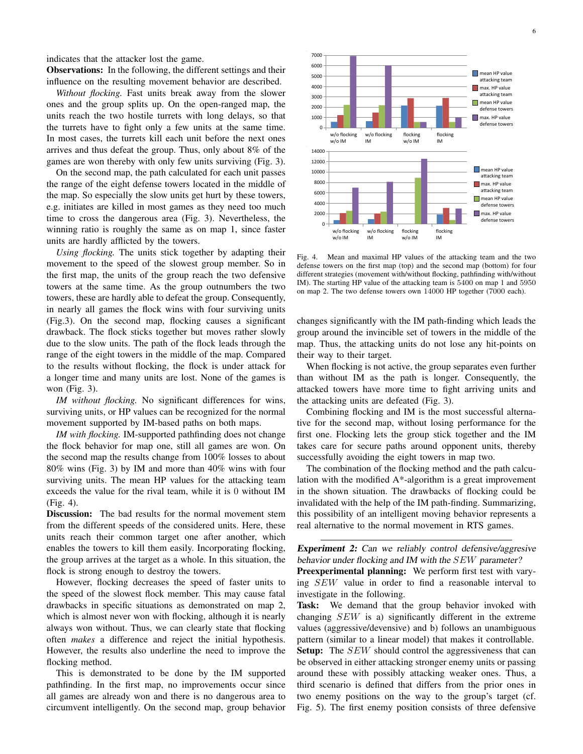indicates that the attacker lost the game.

Observations: In the following, the different settings and their influence on the resulting movement behavior are described.

*Without flocking.* Fast units break away from the slower ones and the group splits up. On the open-ranged map, the units reach the two hostile turrets with long delays, so that the turrets have to fight only a few units at the same time. In most cases, the turrets kill each unit before the next ones arrives and thus defeat the group. Thus, only about 8% of the games are won thereby with only few units surviving (Fig. 3).

On the second map, the path calculated for each unit passes the range of the eight defense towers located in the middle of the map. So especially the slow units get hurt by these towers, e.g. initiates are killed in most games as they need too much time to cross the dangerous area (Fig. 3). Nevertheless, the winning ratio is roughly the same as on map 1, since faster units are hardly afflicted by the towers.

*Using flocking.* The units stick together by adapting their movement to the speed of the slowest group member. So in the first map, the units of the group reach the two defensive towers at the same time. As the group outnumbers the two towers, these are hardly able to defeat the group. Consequently, in nearly all games the flock wins with four surviving units (Fig.3). On the second map, flocking causes a significant drawback. The flock sticks together but moves rather slowly due to the slow units. The path of the flock leads through the range of the eight towers in the middle of the map. Compared to the results without flocking, the flock is under attack for a longer time and many units are lost. None of the games is won (Fig. 3).

*IM without flocking.* No significant differences for wins, surviving units, or HP values can be recognized for the normal movement supported by IM-based paths on both maps.

*IM with flocking.* IM-supported pathfinding does not change the flock behavior for map one, still all games are won. On the second map the results change from 100% losses to about 80% wins (Fig. 3) by IM and more than 40% wins with four surviving units. The mean HP values for the attacking team exceeds the value for the rival team, while it is 0 without IM (Fig. 4).

Discussion: The bad results for the normal movement stem from the different speeds of the considered units. Here, these units reach their common target one after another, which enables the towers to kill them easily. Incorporating flocking, the group arrives at the target as a whole. In this situation, the flock is strong enough to destroy the towers.

However, flocking decreases the speed of faster units to the speed of the slowest flock member. This may cause fatal drawbacks in specific situations as demonstrated on map 2, which is almost never won with flocking, although it is nearly always won without. Thus, we can clearly state that flocking often *makes* a difference and reject the initial hypothesis. However, the results also underline the need to improve the flocking method.

This is demonstrated to be done by the IM supported pathfinding. In the first map, no improvements occur since all games are already won and there is no dangerous area to circumvent intelligently. On the second map, group behavior



Fig. 4. Mean and maximal HP values of the attacking team and the two defense towers on the first map (top) and the second map (bottom) for four different strategies (movement with/without flocking, pathfinding with/without IM). The starting HP value of the attacking team is 5400 on map 1 and 5950 on map 2. The two defense towers own 14000 HP together (7000 each).

changes significantly with the IM path-finding which leads the group around the invincible set of towers in the middle of the map. Thus, the attacking units do not lose any hit-points on their way to their target.

When flocking is not active, the group separates even further than without IM as the path is longer. Consequently, the attacked towers have more time to fight arriving units and the attacking units are defeated (Fig. 3).

Combining flocking and IM is the most successful alternative for the second map, without losing performance for the first one. Flocking lets the group stick together and the IM takes care for secure paths around opponent units, thereby successfully avoiding the eight towers in map two.

The combination of the flocking method and the path calculation with the modified  $A^*$ -algorithm is a great improvement in the shown situation. The drawbacks of flocking could be invalidated with the help of the IM path-finding. Summarizing, this possibility of an intelligent moving behavior represents a real alternative to the normal movement in RTS games.

Experiment 2: Can we reliably control defensive/aggresive behavior under flocking and IM with the SEW parameter?

Preexperimental planning: We perform first test with varying SEW value in order to find a reasonable interval to investigate in the following.

Task: We demand that the group behavior invoked with changing  $SEW$  is a) significantly different in the extreme values (aggressive/devensive) and b) follows an unambiguous pattern (similar to a linear model) that makes it controllable. Setup: The SEW should control the aggressiveness that can be observed in either attacking stronger enemy units or passing around these with possibly attacking weaker ones. Thus, a third scenario is defined that differs from the prior ones in two enemy positions on the way to the group's target (cf. Fig. 5). The first enemy position consists of three defensive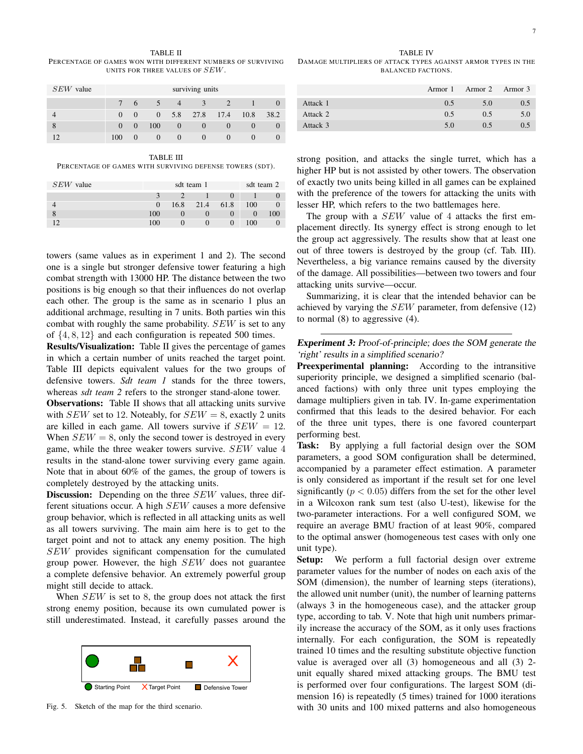TABLE II PERCENTAGE OF GAMES WON WITH DIFFERENT NUMBERS OF SURVIVING UNITS FOR THREE VALUES OF  $SEW$ .

| $SEW$ value | surviving units |          |          |                |      |      |      |      |
|-------------|-----------------|----------|----------|----------------|------|------|------|------|
|             |                 | 6        |          | $\overline{4}$ | 3    |      |      |      |
|             | $\Omega$        | $\theta$ |          | $0 \quad 5.8$  | 27.8 | 17.4 | 10.8 | 38.2 |
|             | $\Omega$        | $\theta$ | 100      | $\theta$       |      |      |      |      |
| 12          | 100             |          | $\theta$ |                |      |      |      |      |

TABLE III PERCENTAGE OF GAMES WITH SURVIVING DEFENSE TOWERS (SDT).

| $SEW$ value | sdt team 1 |      |      |      | sdt team 2 |     |  |
|-------------|------------|------|------|------|------------|-----|--|
|             |            |      |      |      |            |     |  |
|             |            | 16.8 | 21.4 | 61.8 | 100        |     |  |
|             | 100        |      |      |      |            | 100 |  |
|             | 100        |      |      |      | 100        |     |  |

towers (same values as in experiment 1 and 2). The second one is a single but stronger defensive tower featuring a high combat strength with 13000 HP. The distance between the two positions is big enough so that their influences do not overlap each other. The group is the same as in scenario 1 plus an additional archmage, resulting in 7 units. Both parties win this combat with roughly the same probability. SEW is set to any of  $\{4, 8, 12\}$  and each configuration is repeated 500 times.

Results/Visualization: Table II gives the percentage of games in which a certain number of units reached the target point. Table III depicts equivalent values for the two groups of defensive towers. *Sdt team 1* stands for the three towers, whereas *sdt team 2* refers to the stronger stand-alone tower.

**Observations:** Table II shows that all attacking units survive with  $SEW$  set to 12. Noteably, for  $SEW = 8$ , exactly 2 units are killed in each game. All towers survive if  $SEW = 12$ . When  $SEW = 8$ , only the second tower is destroyed in every game, while the three weaker towers survive. SEW value 4 results in the stand-alone tower surviving every game again. Note that in about 60% of the games, the group of towers is completely destroyed by the attacking units.

**Discussion:** Depending on the three SEW values, three different situations occur. A high SEW causes a more defensive group behavior, which is reflected in all attacking units as well as all towers surviving. The main aim here is to get to the target point and not to attack any enemy position. The high SEW provides significant compensation for the cumulated group power. However, the high  $SEW$  does not guarantee a complete defensive behavior. An extremely powerful group might still decide to attack.

When  $SEW$  is set to 8, the group does not attack the first strong enemy position, because its own cumulated power is still underestimated. Instead, it carefully passes around the



Fig. 5. Sketch of the map for the third scenario.

7

DAMAGE MULTIPLIERS OF ATTACK TYPES AGAINST ARMOR TYPES IN THE BALANCED FACTIONS.

|          |     | Armor 1 Armor 2 Armor 3 |     |
|----------|-----|-------------------------|-----|
| Attack 1 | 0.5 | 5.0                     | 0.5 |
| Attack 2 | 0.5 | 0.5                     | 5.0 |
| Attack 3 | 5.0 | 0.5                     | 0.5 |

strong position, and attacks the single turret, which has a higher HP but is not assisted by other towers. The observation of exactly two units being killed in all games can be explained with the preference of the towers for attacking the units with lesser HP, which refers to the two battlemages here.

The group with a  $SEW$  value of 4 attacks the first emplacement directly. Its synergy effect is strong enough to let the group act aggressively. The results show that at least one out of three towers is destroyed by the group (cf. Tab. III). Nevertheless, a big variance remains caused by the diversity of the damage. All possibilities—between two towers and four attacking units survive—occur.

Summarizing, it is clear that the intended behavior can be achieved by varying the  $SEW$  parameter, from defensive (12) to normal (8) to aggressive (4).

## Experiment 3: Proof-of-principle; does the SOM generate the 'right' results in a simplified scenario?

Preexperimental planning: According to the intransitive superiority principle, we designed a simplified scenario (balanced factions) with only three unit types employing the damage multipliers given in tab. IV. In-game experimentation confirmed that this leads to the desired behavior. For each of the three unit types, there is one favored counterpart performing best.

Task: By applying a full factorial design over the SOM parameters, a good SOM configuration shall be determined, accompanied by a parameter effect estimation. A parameter is only considered as important if the result set for one level significantly ( $p < 0.05$ ) differs from the set for the other level in a Wilcoxon rank sum test (also U-test), likewise for the two-parameter interactions. For a well configured SOM, we require an average BMU fraction of at least 90%, compared to the optimal answer (homogeneous test cases with only one unit type).

Setup: We perform a full factorial design over extreme parameter values for the number of nodes on each axis of the SOM (dimension), the number of learning steps (iterations), the allowed unit number (unit), the number of learning patterns (always 3 in the homogeneous case), and the attacker group type, according to tab. V. Note that high unit numbers primarily increase the accuracy of the SOM, as it only uses fractions internally. For each configuration, the SOM is repeatedly trained 10 times and the resulting substitute objective function value is averaged over all (3) homogeneous and all (3) 2 unit equally shared mixed attacking groups. The BMU test is performed over four configurations. The largest SOM (dimension 16) is repeatedly (5 times) trained for 1000 iterations with 30 units and 100 mixed patterns and also homogeneous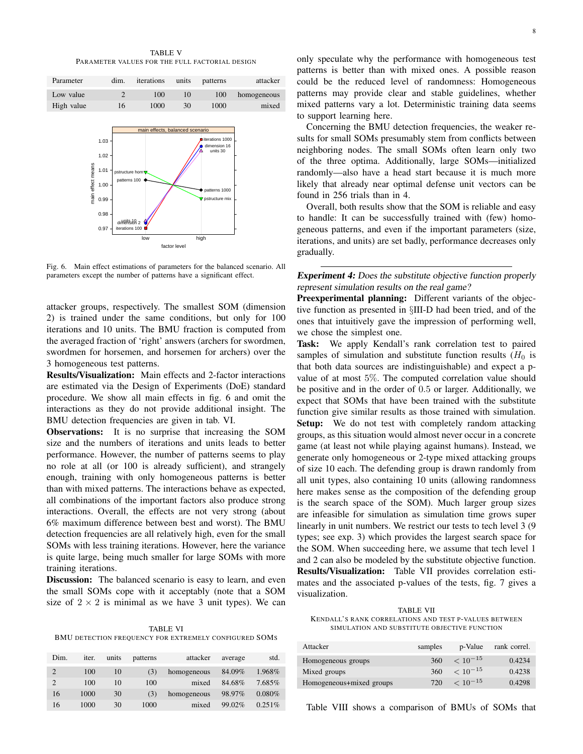TABLE V PARAMETER VALUES FOR THE FULL FACTORIAL DESIGN



Fig. 6. Main effect estimations of parameters for the balanced scenario. All parameters except the number of patterns have a significant effect.

attacker groups, respectively. The smallest SOM (dimension 2) is trained under the same conditions, but only for 100 iterations and 10 units. The BMU fraction is computed from the averaged fraction of 'right' answers (archers for swordmen, swordmen for horsemen, and horsemen for archers) over the 3 homogeneous test patterns.

Results/Visualization: Main effects and 2-factor interactions are estimated via the Design of Experiments (DoE) standard procedure. We show all main effects in fig. 6 and omit the interactions as they do not provide additional insight. The BMU detection frequencies are given in tab. VI.

Observations: It is no surprise that increasing the SOM size and the numbers of iterations and units leads to better performance. However, the number of patterns seems to play no role at all (or 100 is already sufficient), and strangely enough, training with only homogeneous patterns is better than with mixed patterns. The interactions behave as expected, all combinations of the important factors also produce strong interactions. Overall, the effects are not very strong (about 6% maximum difference between best and worst). The BMU detection frequencies are all relatively high, even for the small SOMs with less training iterations. However, here the variance is quite large, being much smaller for large SOMs with more training iterations.

**Discussion:** The balanced scenario is easy to learn, and even the small SOMs cope with it acceptably (note that a SOM size of  $2 \times 2$  is minimal as we have 3 unit types). We can

TABLE VI BMU DETECTION FREQUENCY FOR EXTREMELY CONFIGURED SOMS

| Dim. | iter. | units | patterns | attacker    | average | std.      |
|------|-------|-------|----------|-------------|---------|-----------|
| 2    | 100   | 10    | (3)      | homogeneous | 84.09%  | 1.968%    |
| 2    | 100   | 10    | 100      | mixed       | 84.68%  | 7.685%    |
| 16   | 1000  | 30    | (3)      | homogeneous | 98.97%  | $0.080\%$ |
| 16   | 1000  | 30    | 1000     | mixed       | 99.02%  | $0.251\%$ |

8

only speculate why the performance with homogeneous test patterns is better than with mixed ones. A possible reason could be the reduced level of randomness: Homogeneous patterns may provide clear and stable guidelines, whether mixed patterns vary a lot. Deterministic training data seems to support learning here.

Concerning the BMU detection frequencies, the weaker results for small SOMs presumably stem from conflicts between neighboring nodes. The small SOMs often learn only two of the three optima. Additionally, large SOMs—initialized randomly—also have a head start because it is much more likely that already near optimal defense unit vectors can be found in 256 trials than in 4.

Overall, both results show that the SOM is reliable and easy to handle: It can be successfully trained with (few) homogeneous patterns, and even if the important parameters (size, iterations, and units) are set badly, performance decreases only gradually.

## Experiment 4: Does the substitute objective function properly represent simulation results on the real game?

Preexperimental planning: Different variants of the objective function as presented in §III-D had been tried, and of the ones that intuitively gave the impression of performing well, we chose the simplest one.

Task: We apply Kendall's rank correlation test to paired samples of simulation and substitute function results  $(H_0)$  is that both data sources are indistinguishable) and expect a pvalue of at most 5%. The computed correlation value should be positive and in the order of 0.5 or larger. Additionally, we expect that SOMs that have been trained with the substitute function give similar results as those trained with simulation. Setup: We do not test with completely random attacking groups, as this situation would almost never occur in a concrete game (at least not while playing against humans). Instead, we generate only homogeneous or 2-type mixed attacking groups of size 10 each. The defending group is drawn randomly from all unit types, also containing 10 units (allowing randomness here makes sense as the composition of the defending group is the search space of the SOM). Much larger group sizes are infeasible for simulation as simulation time grows super linearly in unit numbers. We restrict our tests to tech level 3 (9 types; see exp. 3) which provides the largest search space for the SOM. When succeeding here, we assume that tech level 1 and 2 can also be modeled by the substitute objective function. Results/Visualization: Table VII provides correlation estimates and the associated p-values of the tests, fig. 7 gives a visualization.

TABLE VII KENDALL'S RANK CORRELATIONS AND TEST P-VALUES BETWEEN SIMULATION AND SUBSTITUTE OBJECTIVE FUNCTION

| Attacker                 | samples | p-Value      | rank correl. |
|--------------------------|---------|--------------|--------------|
| Homogeneous groups       | 360     | $< 10^{-15}$ | 0.4234       |
| Mixed groups             | 360     | $< 10^{-15}$ | 0.4238       |
| Homogeneous+mixed groups | 720     | $< 10^{-15}$ | 0.4298       |

Table VIII shows a comparison of BMUs of SOMs that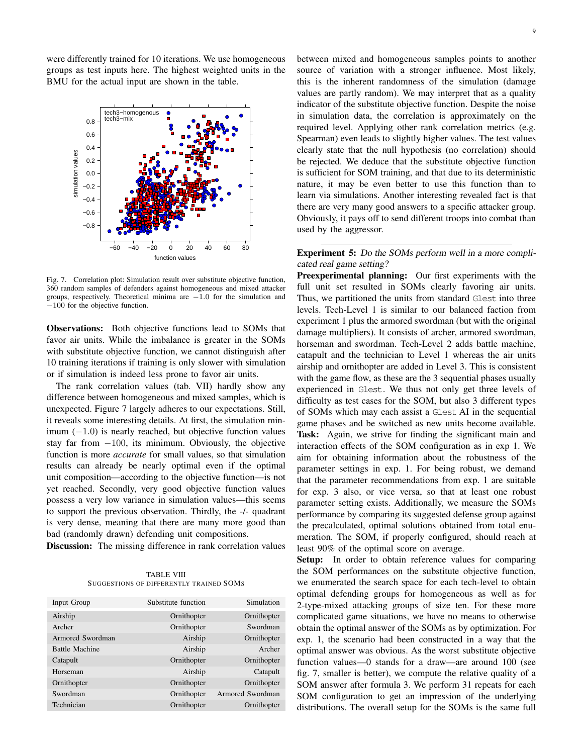were differently trained for 10 iterations. We use homogeneous groups as test inputs here. The highest weighted units in the BMU for the actual input are shown in the table.



Fig. 7. Correlation plot: Simulation result over substitute objective function, 360 random samples of defenders against homogeneous and mixed attacker groups, respectively. Theoretical minima are −1.0 for the simulation and −100 for the objective function.

Observations: Both objective functions lead to SOMs that favor air units. While the imbalance is greater in the SOMs with substitute objective function, we cannot distinguish after 10 training iterations if training is only slower with simulation or if simulation is indeed less prone to favor air units.

The rank correlation values (tab. VII) hardly show any difference between homogeneous and mixed samples, which is unexpected. Figure 7 largely adheres to our expectations. Still, it reveals some interesting details. At first, the simulation minimum  $(-1.0)$  is nearly reached, but objective function values stay far from −100, its minimum. Obviously, the objective function is more *accurate* for small values, so that simulation results can already be nearly optimal even if the optimal unit composition—according to the objective function—is not yet reached. Secondly, very good objective function values possess a very low variance in simulation values—this seems to support the previous observation. Thirdly, the -/- quadrant is very dense, meaning that there are many more good than bad (randomly drawn) defending unit compositions.

Discussion: The missing difference in rank correlation values

TABLE VIII SUGGESTIONS OF DIFFERENTLY TRAINED SOMS

| Input Group           | Substitute function | Simulation       |
|-----------------------|---------------------|------------------|
| Airship               | Ornithopter         | Ornithopter      |
| Archer                | Ornithopter         | Swordman         |
| Armored Swordman      | Airship             | Ornithopter      |
| <b>Battle Machine</b> | Airship             | Archer           |
| Catapult              | Ornithopter         | Ornithopter      |
| Horseman              | Airship             | Catapult         |
| Ornithopter           | Ornithopter         | Ornithopter      |
| Swordman              | Ornithopter         | Armored Swordman |
| Technician            | Ornithopter         | Ornithopter      |

between mixed and homogeneous samples points to another source of variation with a stronger influence. Most likely, this is the inherent randomness of the simulation (damage values are partly random). We may interpret that as a quality indicator of the substitute objective function. Despite the noise in simulation data, the correlation is approximately on the required level. Applying other rank correlation metrics (e.g. Spearman) even leads to slightly higher values. The test values clearly state that the null hypothesis (no correlation) should be rejected. We deduce that the substitute objective function is sufficient for SOM training, and that due to its deterministic nature, it may be even better to use this function than to learn via simulations. Another interesting revealed fact is that there are very many good answers to a specific attacker group. Obviously, it pays off to send different troops into combat than used by the aggressor.

## Experiment 5: Do the SOMs perform well in a more complicated real game setting?

Preexperimental planning: Our first experiments with the full unit set resulted in SOMs clearly favoring air units. Thus, we partitioned the units from standard Glest into three levels. Tech-Level 1 is similar to our balanced faction from experiment 1 plus the armored swordman (but with the original damage multipliers). It consists of archer, armored swordman, horseman and swordman. Tech-Level 2 adds battle machine, catapult and the technician to Level 1 whereas the air units airship and ornithopter are added in Level 3. This is consistent with the game flow, as these are the 3 sequential phases usually experienced in Glest. We thus not only get three levels of difficulty as test cases for the SOM, but also 3 different types of SOMs which may each assist a Glest AI in the sequential game phases and be switched as new units become available. Task: Again, we strive for finding the significant main and interaction effects of the SOM configuration as in exp 1. We aim for obtaining information about the robustness of the parameter settings in exp. 1. For being robust, we demand that the parameter recommendations from exp. 1 are suitable for exp. 3 also, or vice versa, so that at least one robust parameter setting exists. Additionally, we measure the SOMs performance by comparing its suggested defense group against the precalculated, optimal solutions obtained from total enumeration. The SOM, if properly configured, should reach at least 90% of the optimal score on average.

Setup: In order to obtain reference values for comparing the SOM performances on the substitute objective function, we enumerated the search space for each tech-level to obtain optimal defending groups for homogeneous as well as for 2-type-mixed attacking groups of size ten. For these more complicated game situations, we have no means to otherwise obtain the optimal answer of the SOMs as by optimization. For exp. 1, the scenario had been constructed in a way that the optimal answer was obvious. As the worst substitute objective function values—0 stands for a draw—are around 100 (see fig. 7, smaller is better), we compute the relative quality of a SOM answer after formula 3. We perform 31 repeats for each SOM configuration to get an impression of the underlying distributions. The overall setup for the SOMs is the same full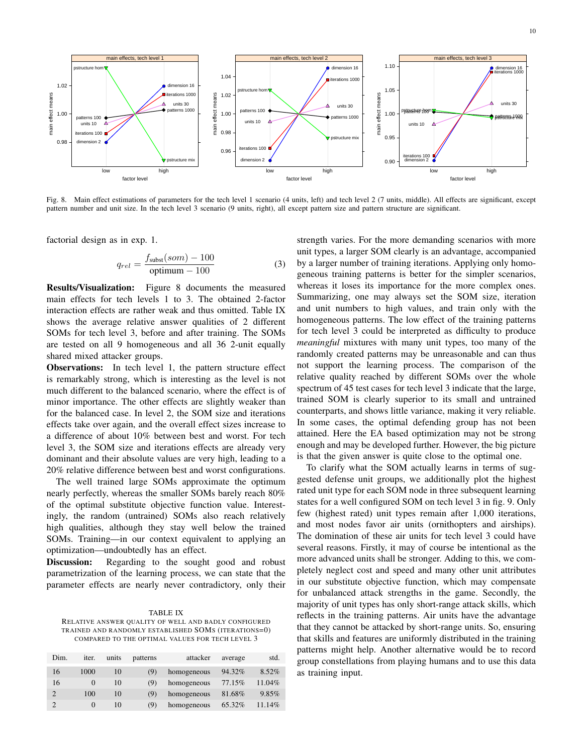

Fig. 8. Main effect estimations of parameters for the tech level 1 scenario (4 units, left) and tech level 2 (7 units, middle). All effects are significant, except pattern number and unit size. In the tech level 3 scenario (9 units, right), all except pattern size and pattern structure are significant.

factorial design as in exp. 1.

$$
q_{rel} = \frac{f_{\text{subst}}(som) - 100}{\text{optimum} - 100} \tag{3}
$$

Results/Visualization: Figure 8 documents the measured main effects for tech levels 1 to 3. The obtained 2-factor interaction effects are rather weak and thus omitted. Table IX shows the average relative answer qualities of 2 different SOMs for tech level 3, before and after training. The SOMs are tested on all 9 homogeneous and all 36 2-unit equally shared mixed attacker groups.

Observations: In tech level 1, the pattern structure effect is remarkably strong, which is interesting as the level is not much different to the balanced scenario, where the effect is of minor importance. The other effects are slightly weaker than for the balanced case. In level 2, the SOM size and iterations effects take over again, and the overall effect sizes increase to a difference of about 10% between best and worst. For tech level 3, the SOM size and iterations effects are already very dominant and their absolute values are very high, leading to a 20% relative difference between best and worst configurations.

The well trained large SOMs approximate the optimum nearly perfectly, whereas the smaller SOMs barely reach 80% of the optimal substitute objective function value. Interestingly, the random (untrained) SOMs also reach relatively high qualities, although they stay well below the trained SOMs. Training—in our context equivalent to applying an optimization—undoubtedly has an effect.

Discussion: Regarding to the sought good and robust parametrization of the learning process, we can state that the parameter effects are nearly never contradictory, only their

TABLE IX RELATIVE ANSWER QUALITY OF WELL AND BADLY CONFIGURED TRAINED AND RANDOMLY ESTABLISHED SOMS (ITERATIONS=0) COMPARED TO THE OPTIMAL VALUES FOR TECH LEVEL 3

| Dim.           | iter.    | units | patterns | attacker    | average | std.   |
|----------------|----------|-------|----------|-------------|---------|--------|
| 16             | 1000     | 10    | (9)      | homogeneous | 94.32%  | 8.52%  |
| 16             | $\Omega$ | 10    | (9)      | homogeneous | 77.15%  | 11.04% |
| 2              | 100      | 10    | (9)      | homogeneous | 81.68%  | 9.85%  |
| $\overline{c}$ | $\Omega$ | 10    | (9)      | homogeneous | 65.32%  | 11.14% |

strength varies. For the more demanding scenarios with more unit types, a larger SOM clearly is an advantage, accompanied by a larger number of training iterations. Applying only homogeneous training patterns is better for the simpler scenarios, whereas it loses its importance for the more complex ones. Summarizing, one may always set the SOM size, iteration and unit numbers to high values, and train only with the homogeneous patterns. The low effect of the training patterns for tech level 3 could be interpreted as difficulty to produce *meaningful* mixtures with many unit types, too many of the randomly created patterns may be unreasonable and can thus not support the learning process. The comparison of the relative quality reached by different SOMs over the whole spectrum of 45 test cases for tech level 3 indicate that the large, trained SOM is clearly superior to its small and untrained counterparts, and shows little variance, making it very reliable. In some cases, the optimal defending group has not been attained. Here the EA based optimization may not be strong enough and may be developed further. However, the big picture is that the given answer is quite close to the optimal one.

To clarify what the SOM actually learns in terms of suggested defense unit groups, we additionally plot the highest rated unit type for each SOM node in three subsequent learning states for a well configured SOM on tech level 3 in fig. 9. Only few (highest rated) unit types remain after 1,000 iterations, and most nodes favor air units (ornithopters and airships). The domination of these air units for tech level 3 could have several reasons. Firstly, it may of course be intentional as the more advanced units shall be stronger. Adding to this, we completely neglect cost and speed and many other unit attributes in our substitute objective function, which may compensate for unbalanced attack strengths in the game. Secondly, the majority of unit types has only short-range attack skills, which reflects in the training patterns. Air units have the advantage that they cannot be attacked by short-range units. So, ensuring that skills and features are uniformly distributed in the training patterns might help. Another alternative would be to record group constellations from playing humans and to use this data as training input.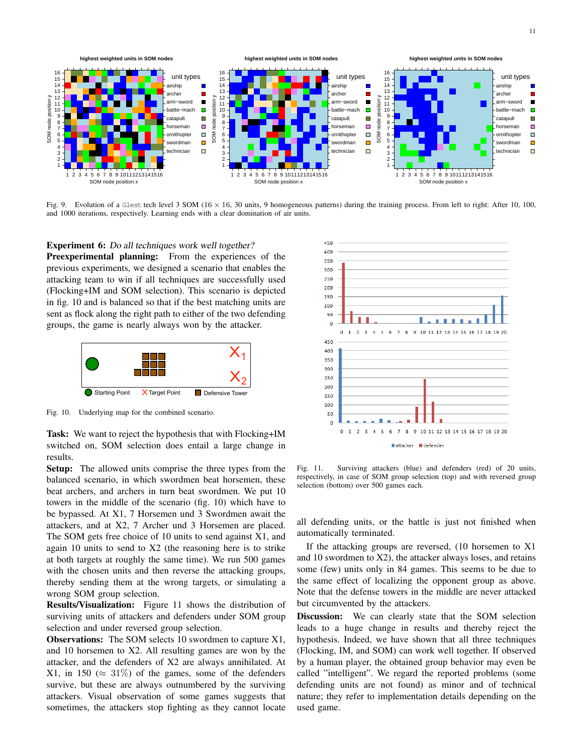

Fig. 9. Evolution of a Glest tech level 3 SOM (16  $\times$  16, 30 units, 9 homogeneous patterns) during the training process. From left to right: After 10, 100, and 1000 iterations, respectively. Learning ends with a clear domination of air units.

Experiment 6: Do all techniques work well together? Preexperimental planning: From the experiences of the previous experiments, we designed a scenario that enables the attacking team to win if all techniques are successfully used (Flocking+IM and SOM selection). This scenario is depicted in fig. 10 and is balanced so that if the best matching units are sent as flock along the right path to either of the two defending groups, the game is nearly always won by the attacker.



Fig. 10. Underlying map for the combined scenario.

Task: We want to reject the hypothesis that with Flocking+IM switched on, SOM selection does entail a large change in results.

Setup: The allowed units comprise the three types from the balanced scenario, in which swordmen beat horsemen, these beat archers, and archers in turn beat swordmen. We put 10 towers in the middle of the scenario (fig. 10) which have to be bypassed. At X1, 7 Horsemen und 3 Swordmen await the attackers, and at X2, 7 Archer und 3 Horsemen are placed. The SOM gets free choice of 10 units to send against X1, and again 10 units to send to X2 (the reasoning here is to strike at both targets at roughly the same time). We run 500 games with the chosen units and then reverse the attacking groups, thereby sending them at the wrong targets, or simulating a wrong SOM group selection.

Results/Visualization: Figure 11 shows the distribution of surviving units of attackers and defenders under SOM group selection and under reversed group selection.

Observations: The SOM selects 10 swordmen to capture X1, and 10 horsemen to X2. All resulting games are won by the attacker, and the defenders of X2 are always annihilated. At X1, in 150 ( $\approx$  31%) of the games, some of the defenders survive, but these are always outnumbered by the surviving attackers. Visual observation of some games suggests that sometimes, the attackers stop fighting as they cannot locate



Fig. 11. Surviving attackers (blue) and defenders (red) of 20 units, respectively, in case of SOM group selection (top) and with reversed group selection (bottom) over 500 games each.

all defending units, or the battle is just not finished when automatically terminated.

If the attacking groups are reversed, (10 horsemen to X1 and 10 swordmen to X2), the attacker always loses, and retains some (few) units only in 84 games. This seems to be due to the same effect of localizing the opponent group as above. Note that the defense towers in the middle are never attacked but circumvented by the attackers.

Discussion: We can clearly state that the SOM selection leads to a huge change in results and thereby reject the hypothesis. Indeed, we have shown that all three techniques (Flocking, IM, and SOM) can work well together. If observed by a human player, the obtained group behavior may even be called "intelligent". We regard the reported problems (some defending units are not found) as minor and of technical nature; they refer to implementation details depending on the used game.